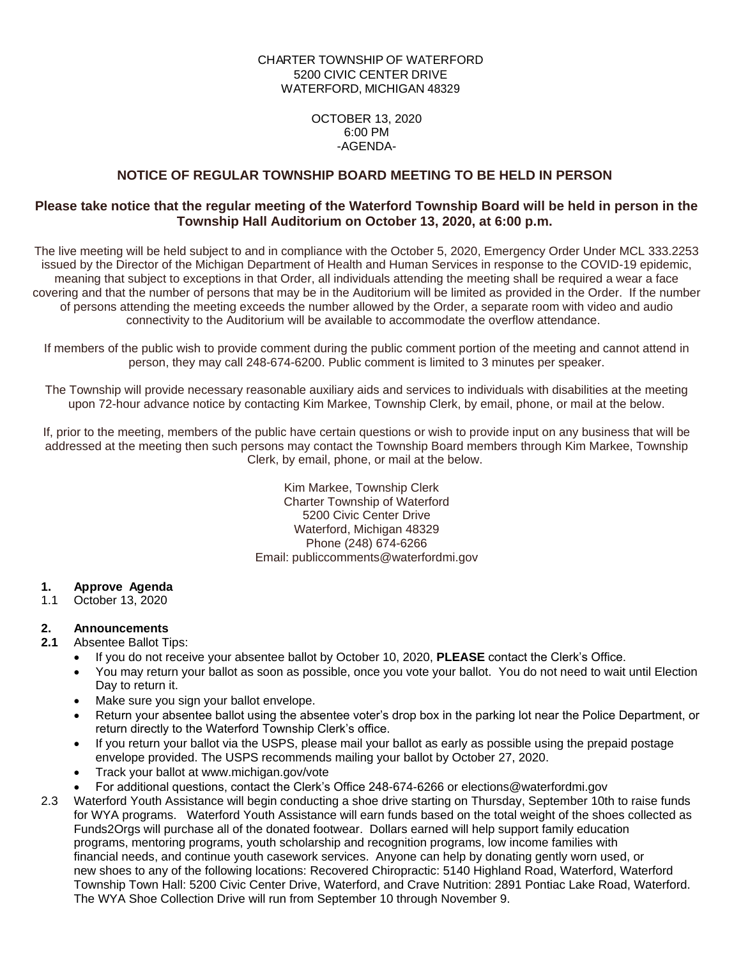## CHARTER TOWNSHIP OF WATERFORD 5200 CIVIC CENTER DRIVE WATERFORD, MICHIGAN 48329

#### OCTOBER 13, 2020 6:00 PM -AGENDA-

## **NOTICE OF REGULAR TOWNSHIP BOARD MEETING TO BE HELD IN PERSON**

## **Please take notice that the regular meeting of the Waterford Township Board will be held in person in the Township Hall Auditorium on October 13, 2020, at 6:00 p.m.**

The live meeting will be held subject to and in compliance with the October 5, 2020, Emergency Order Under MCL 333.2253 issued by the Director of the Michigan Department of Health and Human Services in response to the COVID-19 epidemic, meaning that subject to exceptions in that Order, all individuals attending the meeting shall be required a wear a face covering and that the number of persons that may be in the Auditorium will be limited as provided in the Order. If the number of persons attending the meeting exceeds the number allowed by the Order, a separate room with video and audio connectivity to the Auditorium will be available to accommodate the overflow attendance.

If members of the public wish to provide comment during the public comment portion of the meeting and cannot attend in person, they may call 248-674-6200. Public comment is limited to 3 minutes per speaker.

The Township will provide necessary reasonable auxiliary aids and services to individuals with disabilities at the meeting upon 72-hour advance notice by contacting Kim Markee, Township Clerk, by email, phone, or mail at the below.

If, prior to the meeting, members of the public have certain questions or wish to provide input on any business that will be addressed at the meeting then such persons may contact the Township Board members through Kim Markee, Township Clerk, by email, phone, or mail at the below.

> Kim Markee, Township Clerk Charter Township of Waterford 5200 Civic Center Drive Waterford, Michigan 48329 Phone (248) 674-6266 Email: publiccomments@waterfordmi.gov

# **1. Approve Agenda**

October 13, 2020

## **2. Announcements**

- **2.1** Absentee Ballot Tips:
	- If you do not receive your absentee ballot by October 10, 2020, **PLEASE** contact the Clerk's Office.
	- You may return your ballot as soon as possible, once you vote your ballot. You do not need to wait until Election Day to return it.
	- Make sure you sign your ballot envelope.
	- Return your absentee ballot using the absentee voter's drop box in the parking lot near the Police Department, or return directly to the Waterford Township Clerk's office.
	- If you return your ballot via the USPS, please mail your ballot as early as possible using the prepaid postage envelope provided. The USPS recommends mailing your ballot by October 27, 2020.
	- Track your ballot at www.michigan.gov/vote
	- For additional questions, contact the Clerk's Office 248-674-6266 or [elections@waterfordmi.gov](mailto:elections@waterfordmi.gov)
- 2.3 Waterford Youth Assistance will begin conducting a shoe drive starting on Thursday, September 10th to raise funds for WYA programs. Waterford Youth Assistance will earn funds based on the total weight of the shoes collected as Funds2Orgs will purchase all of the donated footwear. Dollars earned will help support family education programs, mentoring programs, youth scholarship and recognition programs, low income families with financial needs, and continue youth casework services. Anyone can help by donating gently worn used, or new shoes to any of the following locations: Recovered Chiropractic: 5140 Highland Road, Waterford, Waterford Township Town Hall: 5200 Civic Center Drive, Waterford, and Crave Nutrition: 2891 Pontiac Lake Road, Waterford. The WYA Shoe Collection Drive will run from September 10 through November 9.